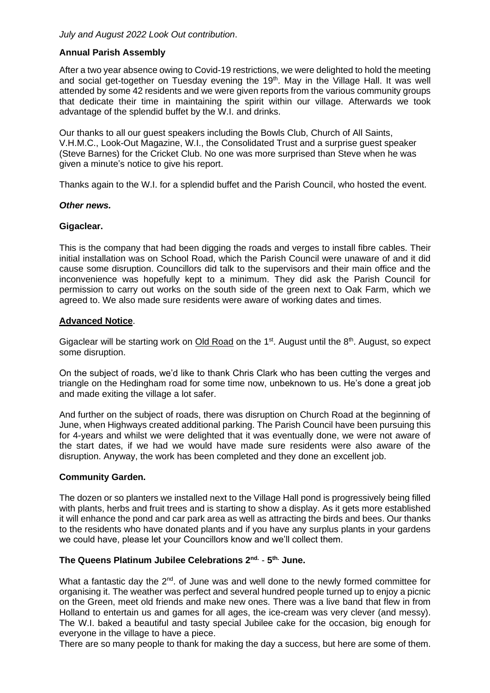# **Annual Parish Assembly**

After a two year absence owing to Covid-19 restrictions, we were delighted to hold the meeting and social get-together on Tuesday evening the 19<sup>th</sup>. May in the Village Hall. It was well attended by some 42 residents and we were given reports from the various community groups that dedicate their time in maintaining the spirit within our village. Afterwards we took advantage of the splendid buffet by the W.I. and drinks.

Our thanks to all our guest speakers including the Bowls Club, Church of All Saints, V.H.M.C., Look-Out Magazine, W.I., the Consolidated Trust and a surprise guest speaker (Steve Barnes) for the Cricket Club. No one was more surprised than Steve when he was given a minute's notice to give his report.

Thanks again to the W.I. for a splendid buffet and the Parish Council, who hosted the event.

### *Other news.*

### **Gigaclear.**

This is the company that had been digging the roads and verges to install fibre cables. Their initial installation was on School Road, which the Parish Council were unaware of and it did cause some disruption. Councillors did talk to the supervisors and their main office and the inconvenience was hopefully kept to a minimum. They did ask the Parish Council for permission to carry out works on the south side of the green next to Oak Farm, which we agreed to. We also made sure residents were aware of working dates and times.

## **Advanced Notice**.

Gigaclear will be starting work on Old Road on the  $1<sup>st</sup>$ . August until the  $8<sup>th</sup>$ . August, so expect some disruption.

On the subject of roads, we'd like to thank Chris Clark who has been cutting the verges and triangle on the Hedingham road for some time now, unbeknown to us. He's done a great job and made exiting the village a lot safer.

And further on the subject of roads, there was disruption on Church Road at the beginning of June, when Highways created additional parking. The Parish Council have been pursuing this for 4-years and whilst we were delighted that it was eventually done, we were not aware of the start dates, if we had we would have made sure residents were also aware of the disruption. Anyway, the work has been completed and they done an excellent job.

## **Community Garden.**

The dozen or so planters we installed next to the Village Hall pond is progressively being filled with plants, herbs and fruit trees and is starting to show a display. As it gets more established it will enhance the pond and car park area as well as attracting the birds and bees. Our thanks to the residents who have donated plants and if you have any surplus plants in your gardens we could have, please let your Councillors know and we'll collect them.

## **The Queens Platinum Jubilee Celebrations 2nd.** - **5 th. June.**

What a fantastic day the  $2<sup>nd</sup>$ . of June was and well done to the newly formed committee for organising it. The weather was perfect and several hundred people turned up to enjoy a picnic on the Green, meet old friends and make new ones. There was a live band that flew in from Holland to entertain us and games for all ages, the ice-cream was very clever (and messy). The W.I. baked a beautiful and tasty special Jubilee cake for the occasion, big enough for everyone in the village to have a piece.

There are so many people to thank for making the day a success, but here are some of them.